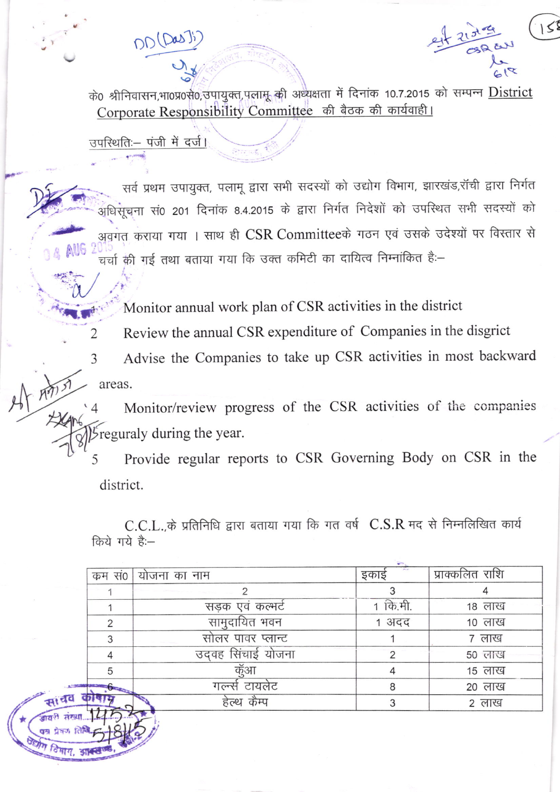DD (Da

के0 श्रीनिवासन,भा0प्र0से0,उपायुक्त,पलामू की अध्यक्षता में दिनांक 10.7.2015 को सम्पन्न District Corporate Responsibility Committee की बैठक की कार्यवाही।

उपस्थितिः– पंजी में दर्ज।

2

3

सर्व प्रथम उपायुक्त, पलामू द्वारा सभी सदस्यों को उद्योग विभाग, झारखंड,रॉची द्वारा निर्गत .<br>अधिसूचना सं0 201 दिनांक 8.4.2015 के द्वारा निर्गत निदेशों को उपस्थित सभी सदस्यों को अवगत कराया गया । साथ ही CSR Committeeके गठन एवं उसके उदेश्यों पर विस्तार से चर्चा की गई तथा बताया गया कि उक्त कमिटी का दायित्व निम्नांकित है:-

Monitor annual work plan of CSR activities in the district

Review the annual CSR expenditure of Companies in the disgrict

Advise the Companies to take up CSR activities in most backward areas.

Monitor/review progress of the CSR activities of the companies reguraly during the year.

Provide regular reports to CSR Governing Body on CSR in the 5 district.

C.C.L. के प्रतिनिधि द्वारा बताया गया कि गत वर्ष C.S.R मद से निम्नलिखित कार्य किये गये है:--

| कम स0 | योजना का नाम      | इकाई     | प्राक्कलित राशि |
|-------|-------------------|----------|-----------------|
|       |                   |          |                 |
|       | सडक एवं कल्भर्ट   | 1 कि.मी. | १८ लाख          |
|       | सामुदायित भवन     | 1 अदद    | 10 लाख          |
| 3     | सोलर पावर प्लान्ट |          | ७ लाख           |
|       | उदवह सिंचाई योजना |          | 50 लाख          |
| 5     | कूँआ              |          | 15 लाख          |
|       | गल्न्से टायलेट    | 8        | २० लाख          |
|       | हेल्थ कैम्प       |          | 2 लाख           |
|       |                   |          |                 |